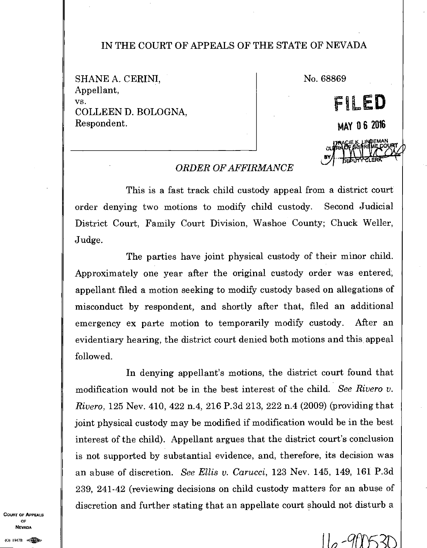## IN THE COURT OF APPEALS OF THE STATE OF NEVADA

SHANE A. CERINI, Appellant, vs. COLLEEN D. BOLOGNA, Respondent.

No. 68869

**MAY 0 6 2016** 

**FILED** 

**EMAN OURT** 

El

## *ORDER OF AFFIRMANCE*

This is a fast track child custody appeal from a district court order denying two motions to modify child custody. Second Judicial District Court, Family Court Division, Washoe County; Chuck Weller, Judge.

The parties have joint physical custody of their minor child. Approximately one year after the original custody order was entered, appellant filed a motion seeking to modify custody based on allegations of misconduct by respondent, and shortly after that, filed an additional emergency ex parte motion to temporarily modify custody. After an evidentiary hearing, the district court denied both motions and this appeal followed.

In denying appellant's motions, the district court found that modification would not be in the best interest of the child. *See Rivera v. Rivera,* 125 Nev. 410, 422 n.4, 216 P.3d 213, 222 n.4 (2009) (providing that joint physical custody may be modified if modification would be in the best interest of the child). Appellant argues that the district court's conclusion is not supported by substantial evidence, and, therefore, its decision was an abuse of discretion. *See Ellis v. Carucci,* 123 Nev. 145, 149, 161 P.3d 239, 241-42 (reviewing decisions on child custody matters for an abuse of discretion and further stating that an appellate court should not disturb a

COURT OF APPEALS OF **NEVADA** 

 $\frac{1}{10}$  -900530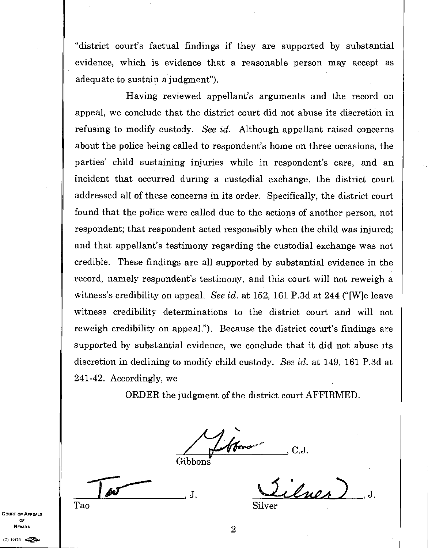"district court's factual findings if they are supported by substantial evidence, which is evidence that a reasonable person may accept as adequate to sustain a judgment").

Having reviewed appellant's arguments and the record on appeal, we conclude that the district court did not abuse its discretion in refusing to modify custody. *See id.* Although appellant raised concerns about the police being called to respondent's home on three occasions, the parties' child sustaining injuries while in respondent's care, and an incident that occurred during a custodial exchange, the district court addressed all of these concerns in its order. Specifically, the district court found that the police were called due to the actions of another person, not respondent; that respondent acted responsibly when the child was injured; and that appellant's testimony regarding the custodial exchange was not credible. These findings are all supported by substantial evidence in the record, namely respondent's testimony, and this court will not reweigh a witness's credibility on appeal. *See id.* at 152, 161 P.3d at 244 ("[W]e leave witness credibility determinations to the district court and will not reweigh credibility on appeal."). Because the district court's findings are supported by substantial evidence, we conclude that it did not abuse its discretion in declining to modify child custody. *See id.* at 149, 161 P.3d at 241-42. Accordingly, we

ORDER the judgment of the district court AFFIRMED.

, C.J.

 $\frac{1}{\sqrt{2}}$ Л. Tao

 $l$ uos Silver

COURT OF APPEALS

OF **NEVADA** 

 $(0)$  1947B  $\bigotimes_{i=1}^{\infty}$